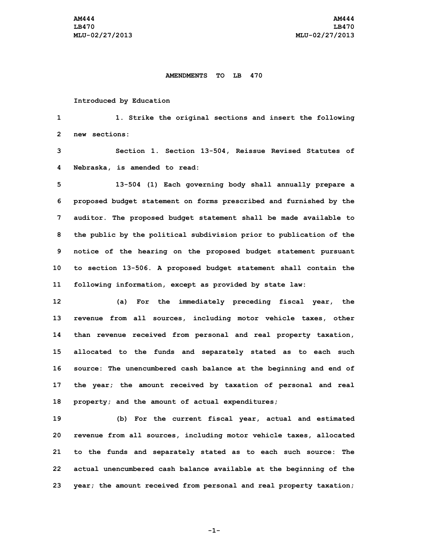## **AMENDMENTS TO LB 470**

## **Introduced by Education**

**1 1. Strike the original sections and insert the following 2 new sections:**

**3 Section 1. Section 13-504, Reissue Revised Statutes of 4 Nebraska, is amended to read:**

 **13-504 (1) Each governing body shall annually prepare <sup>a</sup> proposed budget statement on forms prescribed and furnished by the auditor. The proposed budget statement shall be made available to the public by the political subdivision prior to publication of the notice of the hearing on the proposed budget statement pursuant to section 13-506. <sup>A</sup> proposed budget statement shall contain the following information, except as provided by state law:**

 **(a) For the immediately preceding fiscal year, the revenue from all sources, including motor vehicle taxes, other than revenue received from personal and real property taxation, allocated to the funds and separately stated as to each such source: The unencumbered cash balance at the beginning and end of the year; the amount received by taxation of personal and real property; and the amount of actual expenditures;**

 **(b) For the current fiscal year, actual and estimated revenue from all sources, including motor vehicle taxes, allocated to the funds and separately stated as to each such source: The actual unencumbered cash balance available at the beginning of the year; the amount received from personal and real property taxation;**

**-1-**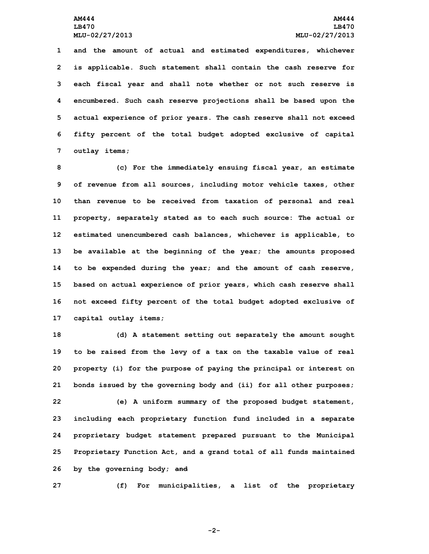**and the amount of actual and estimated expenditures, whichever is applicable. Such statement shall contain the cash reserve for each fiscal year and shall note whether or not such reserve is encumbered. Such cash reserve projections shall be based upon the actual experience of prior years. The cash reserve shall not exceed fifty percent of the total budget adopted exclusive of capital outlay items;**

 **(c) For the immediately ensuing fiscal year, an estimate of revenue from all sources, including motor vehicle taxes, other than revenue to be received from taxation of personal and real property, separately stated as to each such source: The actual or estimated unencumbered cash balances, whichever is applicable, to be available at the beginning of the year; the amounts proposed to be expended during the year; and the amount of cash reserve, based on actual experience of prior years, which cash reserve shall not exceed fifty percent of the total budget adopted exclusive of capital outlay items;**

 **(d) <sup>A</sup> statement setting out separately the amount sought to be raised from the levy of <sup>a</sup> tax on the taxable value of real property (i) for the purpose of paying the principal or interest on bonds issued by the governing body and (ii) for all other purposes; (e) <sup>A</sup> uniform summary of the proposed budget statement, including each proprietary function fund included in <sup>a</sup> separate proprietary budget statement prepared pursuant to the Municipal Proprietary Function Act, and <sup>a</sup> grand total of all funds maintained by the governing body; and**

**27 (f) For municipalities, <sup>a</sup> list of the proprietary**

**-2-**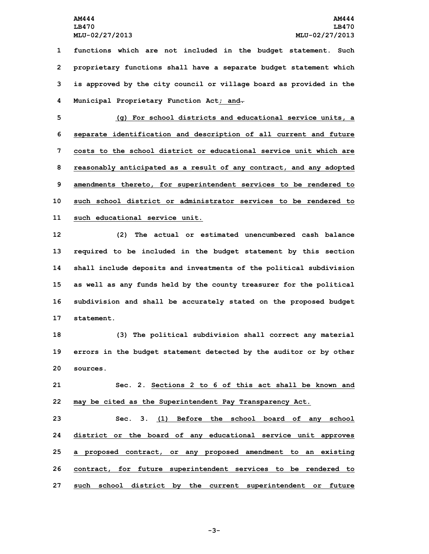**functions which are not included in the budget statement. Such proprietary functions shall have <sup>a</sup> separate budget statement which is approved by the city council or village board as provided in the Municipal Proprietary Function Act; and.**

 **(g) For school districts and educational service units, <sup>a</sup> separate identification and description of all current and future costs to the school district or educational service unit which are reasonably anticipated as <sup>a</sup> result of any contract, and any adopted amendments thereto, for superintendent services to be rendered to such school district or administrator services to be rendered to such educational service unit.**

 **(2) The actual or estimated unencumbered cash balance required to be included in the budget statement by this section shall include deposits and investments of the political subdivision as well as any funds held by the county treasurer for the political subdivision and shall be accurately stated on the proposed budget statement.**

**18 (3) The political subdivision shall correct any material 19 errors in the budget statement detected by the auditor or by other 20 sources.**

**21 Sec. 2. Sections 2 to 6 of this act shall be known and 22 may be cited as the Superintendent Pay Transparency Act.**

 **Sec. 3. (1) Before the school board of any school district or the board of any educational service unit approves <sup>a</sup> proposed contract, or any proposed amendment to an existing contract, for future superintendent services to be rendered to such school district by the current superintendent or future**

**-3-**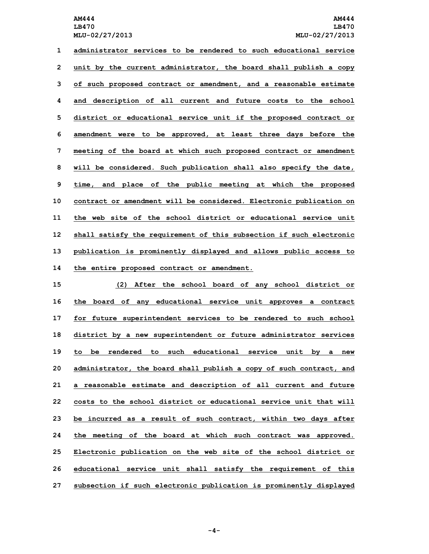**administrator services to be rendered to such educational service unit by the current administrator, the board shall publish <sup>a</sup> copy of such proposed contract or amendment, and <sup>a</sup> reasonable estimate and description of all current and future costs to the school district or educational service unit if the proposed contract or amendment were to be approved, at least three days before the meeting of the board at which such proposed contract or amendment will be considered. Such publication shall also specify the date, time, and place of the public meeting at which the proposed contract or amendment will be considered. Electronic publication on the web site of the school district or educational service unit shall satisfy the requirement of this subsection if such electronic publication is prominently displayed and allows public access to the entire proposed contract or amendment.**

 **(2) After the school board of any school district or the board of any educational service unit approves <sup>a</sup> contract for future superintendent services to be rendered to such school district by <sup>a</sup> new superintendent or future administrator services to be rendered to such educational service unit by <sup>a</sup> new administrator, the board shall publish <sup>a</sup> copy of such contract, and <sup>a</sup> reasonable estimate and description of all current and future costs to the school district or educational service unit that will be incurred as <sup>a</sup> result of such contract, within two days after the meeting of the board at which such contract was approved. Electronic publication on the web site of the school district or educational service unit shall satisfy the requirement of this subsection if such electronic publication is prominently displayed**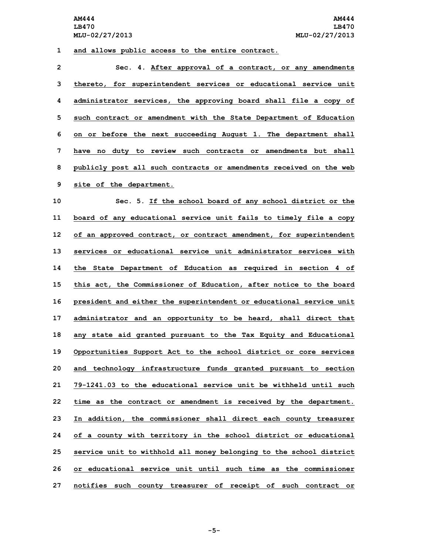## **1 and allows public access to the entire contract.**

 **Sec. 4. After approval of <sup>a</sup> contract, or any amendments thereto, for superintendent services or educational service unit administrator services, the approving board shall file <sup>a</sup> copy of such contract or amendment with the State Department of Education on or before the next succeeding August 1. The department shall have no duty to review such contracts or amendments but shall publicly post all such contracts or amendments received on the web site of the department.**

 **Sec. 5. If the school board of any school district or the board of any educational service unit fails to timely file <sup>a</sup> copy of an approved contract, or contract amendment, for superintendent services or educational service unit administrator services with the State Department of Education as required in section 4 of this act, the Commissioner of Education, after notice to the board president and either the superintendent or educational service unit administrator and an opportunity to be heard, shall direct that any state aid granted pursuant to the Tax Equity and Educational Opportunities Support Act to the school district or core services and technology infrastructure funds granted pursuant to section 79-1241.03 to the educational service unit be withheld until such time as the contract or amendment is received by the department. In addition, the commissioner shall direct each county treasurer of <sup>a</sup> county with territory in the school district or educational service unit to withhold all money belonging to the school district or educational service unit until such time as the commissioner notifies such county treasurer of receipt of such contract or**